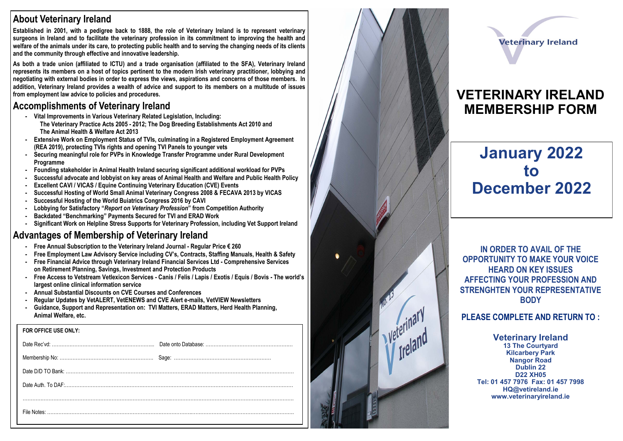## **About Veterinary Ireland**

**Established in 2001, with a pedigree back to 1888, the role of Veterinary Ireland is to represent veterinary surgeons in Ireland and to facilitate the veterinary profession in its commitment to improving the health and welfare of the animals under its care, to protecting public health and to serving the changing needs of its clients and the community through effective and innovative leadership.**

**As both a trade union (affiliated to ICTU) and a trade organisation (affiliated to the SFA), Veterinary Ireland represents its members on a host of topics pertinent to the modern Irish veterinary practitioner, lobbying and negotiating with external bodies in order to express the views, aspirations and concerns of those members. In addition, Veterinary Ireland provides a wealth of advice and support to its members on a multitude of issues from employment law advice to policies and procedures.** 

## **Accomplishments of Veterinary Ireland**

- **- Vital Improvements in Various Veterinary Related Legislation, Including: The Veterinary Practice Acts 2005 - 2012; The Dog Breeding Establishments Act 2010 and The Animal Health & Welfare Act 2013**
- **- Extensive Work on Employment Status of TVIs, culminating in a Registered Employment Agreement (REA 2019), protecting TVIs rights and opening TVI Panels to younger vets**
- **- Securing meaningful role for PVPs in Knowledge Transfer Programme under Rural Development Programme**
- **- Founding stakeholder in Animal Health Ireland securing significant additional workload for PVPs**
- **- Successful advocate and lobbyist on key areas of Animal Health and Welfare and Public Health Policy**
- **- Excellent CAVI / VICAS / Equine Continuing Veterinary Education (CVE) Events**
- **- Successful Hosting of World Small Animal Veterinary Congress 2008 & FECAVA 2013 by VICAS**
- **- Successful Hosting of the World Buiatrics Congress 2016 by CAVI**
- **- Lobbying for Satisfactory "***Report on Veterinary Profession***" from Competition Authority**
- **- Backdated "Benchmarking" Payments Secured for TVI and ERAD Work**
- **- Significant Work on Helpline Stress Supports for Veterinary Profession, including Vet Support Ireland**

## **Advantages of Membership of Veterinary Ireland**

- **- Free Annual Subscription to the Veterinary Ireland Journal - Regular Price € 260**
- **- Free Employment Law Advisory Service including CV's, Contracts, Staffing Manuals, Health & Safety**
- **- Free Financial Advice through Veterinary Ireland Financial Services Ltd - Comprehensive Services on Retirement Planning, Savings, Investment and Protection Products**
- **- Free Access to Vetstream Vetlexicon Services - Canis / Felis / Lapis / Exotis / Equis / Bovis - The world's largest online clinical information service**
- **- Annual Substantial Discounts on CVE Courses and Conferences**
- **- Regular Updates by VetALERT, VetENEWS and CVE Alert e -mails, VetVIEW Newsletters**
- **- Guidance, Support and Representation on: TVI Matters, ERAD Matters, Herd Health Planning, Animal Welfare, etc.**

| FOR OFFICE USE ONLY: |  |
|----------------------|--|
|                      |  |
|                      |  |
|                      |  |
|                      |  |
|                      |  |
|                      |  |
|                      |  |



# **Veterinary Ireland**

## **VETERINARY IRELAND MEMBERSHIP FORM**

# **January 2022 to December 2022**

**IN ORDER TO AVAIL OF THE OPPORTUNITY TO MAKE YOUR VOICE HEARD ON KEY ISSUES AFFECTING YOUR PROFESSION AND STRENGHTEN YOUR REPRESENTATIVE BODY**

### **PLEASE COMPLETE AND RETURN TO :**

**Veterinary Ireland 13 The Courtyard Kilcarbery Park Nangor Road Dublin 22 D22 XH05 Tel: 01 457 7976 Fax: 01 457 7998 HQ@vetireland.ie www.veterinaryireland.ie**